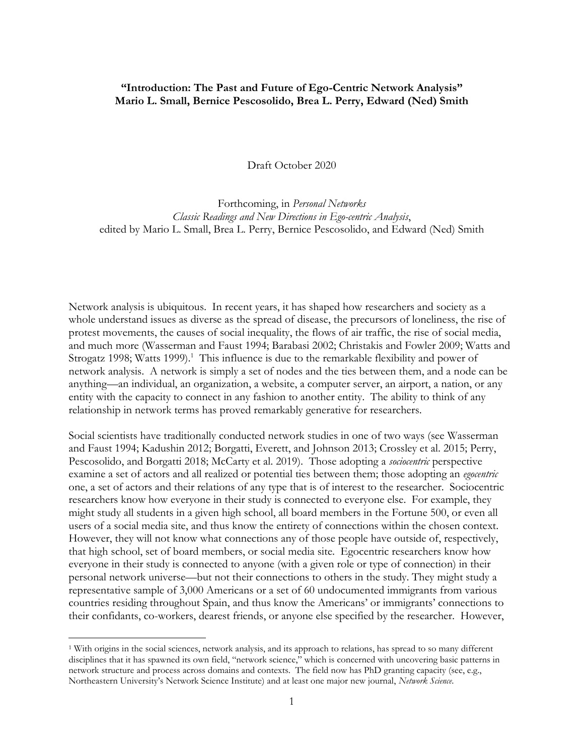# **"Introduction: The Past and Future of Ego-Centric Network Analysis" Mario L. Small, Bernice Pescosolido, Brea L. Perry, Edward (Ned) Smith**

Draft October 2020

Forthcoming, in *Personal Networks Classic Readings and New Directions in Ego-centric Analysis*, edited by Mario L. Small, Brea L. Perry, Bernice Pescosolido, and Edward (Ned) Smith

Network analysis is ubiquitous. In recent years, it has shaped how researchers and society as a whole understand issues as diverse as the spread of disease, the precursors of loneliness, the rise of protest movements, the causes of social inequality, the flows of air traffic, the rise of social media, and much more (Wasserman and Faust 1994; Barabasi 2002; Christakis and Fowler 2009; Watts and Strogatz 1998; Watts 1999).<sup>1</sup> This influence is due to the remarkable flexibility and power of network analysis. A network is simply a set of nodes and the ties between them, and a node can be anything—an individual, an organization, a website, a computer server, an airport, a nation, or any entity with the capacity to connect in any fashion to another entity. The ability to think of any relationship in network terms has proved remarkably generative for researchers.

Social scientists have traditionally conducted network studies in one of two ways (see Wasserman and Faust 1994; Kadushin 2012; Borgatti, Everett, and Johnson 2013; Crossley et al. 2015; Perry, Pescosolido, and Borgatti 2018; McCarty et al. 2019). Those adopting a *sociocentric* perspective examine a set of actors and all realized or potential ties between them; those adopting an *egocentric* one, a set of actors and their relations of any type that is of interest to the researcher. Sociocentric researchers know how everyone in their study is connected to everyone else. For example, they might study all students in a given high school, all board members in the Fortune 500, or even all users of a social media site, and thus know the entirety of connections within the chosen context. However, they will not know what connections any of those people have outside of, respectively, that high school, set of board members, or social media site. Egocentric researchers know how everyone in their study is connected to anyone (with a given role or type of connection) in their personal network universe—but not their connections to others in the study. They might study a representative sample of 3,000 Americans or a set of 60 undocumented immigrants from various countries residing throughout Spain, and thus know the Americans' or immigrants' connections to their confidants, co-workers, dearest friends, or anyone else specified by the researcher. However,

<sup>&</sup>lt;sup>1</sup> With origins in the social sciences, network analysis, and its approach to relations, has spread to so many different disciplines that it has spawned its own field, "network science," which is concerned with uncovering basic patterns in network structure and process across domains and contexts. The field now has PhD granting capacity (see, e.g., Northeastern University's Network Science Institute) and at least one major new journal, *Network Science*.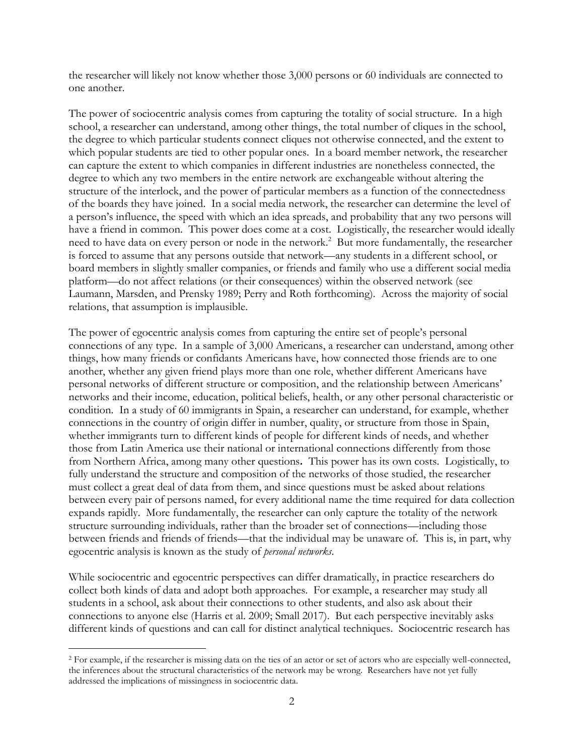the researcher will likely not know whether those 3,000 persons or 60 individuals are connected to one another.

The power of sociocentric analysis comes from capturing the totality of social structure. In a high school, a researcher can understand, among other things, the total number of cliques in the school, the degree to which particular students connect cliques not otherwise connected, and the extent to which popular students are tied to other popular ones. In a board member network, the researcher can capture the extent to which companies in different industries are nonetheless connected, the degree to which any two members in the entire network are exchangeable without altering the structure of the interlock, and the power of particular members as a function of the connectedness of the boards they have joined. In a social media network, the researcher can determine the level of a person's influence, the speed with which an idea spreads, and probability that any two persons will have a friend in common. This power does come at a cost. Logistically, the researcher would ideally need to have data on every person or node in the network.<sup>2</sup> But more fundamentally, the researcher is forced to assume that any persons outside that network—any students in a different school, or board members in slightly smaller companies, or friends and family who use a different social media platform—do not affect relations (or their consequences) within the observed network (see Laumann, Marsden, and Prensky 1989; Perry and Roth forthcoming). Across the majority of social relations, that assumption is implausible.

The power of egocentric analysis comes from capturing the entire set of people's personal connections of any type. In a sample of 3,000 Americans, a researcher can understand, among other things, how many friends or confidants Americans have, how connected those friends are to one another, whether any given friend plays more than one role, whether different Americans have personal networks of different structure or composition, and the relationship between Americans' networks and their income, education, political beliefs, health, or any other personal characteristic or condition. In a study of 60 immigrants in Spain, a researcher can understand, for example, whether connections in the country of origin differ in number, quality, or structure from those in Spain, whether immigrants turn to different kinds of people for different kinds of needs, and whether those from Latin America use their national or international connections differently from those from Northern Africa, among many other questions**.** This power has its own costs. Logistically, to fully understand the structure and composition of the networks of those studied, the researcher must collect a great deal of data from them, and since questions must be asked about relations between every pair of persons named, for every additional name the time required for data collection expands rapidly. More fundamentally, the researcher can only capture the totality of the network structure surrounding individuals, rather than the broader set of connections—including those between friends and friends of friends—that the individual may be unaware of. This is, in part, why egocentric analysis is known as the study of *personal networks*.

While sociocentric and egocentric perspectives can differ dramatically, in practice researchers do collect both kinds of data and adopt both approaches. For example, a researcher may study all students in a school, ask about their connections to other students, and also ask about their connections to anyone else (Harris et al. 2009; Small 2017). But each perspective inevitably asks different kinds of questions and can call for distinct analytical techniques. Sociocentric research has

<sup>2</sup> For example, if the researcher is missing data on the ties of an actor or set of actors who are especially well-connected, the inferences about the structural characteristics of the network may be wrong. Researchers have not yet fully addressed the implications of missingness in sociocentric data.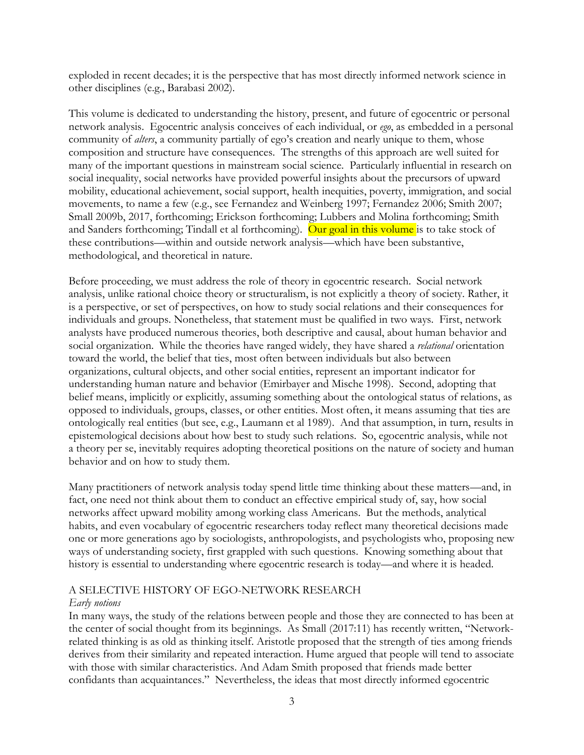exploded in recent decades; it is the perspective that has most directly informed network science in other disciplines (e.g., Barabasi 2002).

This volume is dedicated to understanding the history, present, and future of egocentric or personal network analysis. Egocentric analysis conceives of each individual, or *ego*, as embedded in a personal community of *alters*, a community partially of ego's creation and nearly unique to them, whose composition and structure have consequences. The strengths of this approach are well suited for many of the important questions in mainstream social science. Particularly influential in research on social inequality, social networks have provided powerful insights about the precursors of upward mobility, educational achievement, social support, health inequities, poverty, immigration, and social movements, to name a few (e.g., see Fernandez and Weinberg 1997; Fernandez 2006; Smith 2007; Small 2009b, 2017, forthcoming; Erickson forthcoming; Lubbers and Molina forthcoming; Smith and Sanders forthcoming; Tindall et al forthcoming). Our goal in this volume is to take stock of these contributions—within and outside network analysis—which have been substantive, methodological, and theoretical in nature.

Before proceeding, we must address the role of theory in egocentric research. Social network analysis, unlike rational choice theory or structuralism, is not explicitly a theory of society. Rather, it is a perspective, or set of perspectives, on how to study social relations and their consequences for individuals and groups. Nonetheless, that statement must be qualified in two ways. First, network analysts have produced numerous theories, both descriptive and causal, about human behavior and social organization. While the theories have ranged widely, they have shared a *relational* orientation toward the world, the belief that ties, most often between individuals but also between organizations, cultural objects, and other social entities, represent an important indicator for understanding human nature and behavior (Emirbayer and Mische 1998). Second, adopting that belief means, implicitly or explicitly, assuming something about the ontological status of relations, as opposed to individuals, groups, classes, or other entities. Most often, it means assuming that ties are ontologically real entities (but see, e.g., Laumann et al 1989). And that assumption, in turn, results in epistemological decisions about how best to study such relations. So, egocentric analysis, while not a theory per se, inevitably requires adopting theoretical positions on the nature of society and human behavior and on how to study them.

Many practitioners of network analysis today spend little time thinking about these matters—and, in fact, one need not think about them to conduct an effective empirical study of, say, how social networks affect upward mobility among working class Americans. But the methods, analytical habits, and even vocabulary of egocentric researchers today reflect many theoretical decisions made one or more generations ago by sociologists, anthropologists, and psychologists who, proposing new ways of understanding society, first grappled with such questions. Knowing something about that history is essential to understanding where egocentric research is today—and where it is headed.

# A SELECTIVE HISTORY OF EGO-NETWORK RESEARCH

# *Early notions*

In many ways, the study of the relations between people and those they are connected to has been at the center of social thought from its beginnings. As Small (2017:11) has recently written, "Networkrelated thinking is as old as thinking itself. Aristotle proposed that the strength of ties among friends derives from their similarity and repeated interaction. Hume argued that people will tend to associate with those with similar characteristics. And Adam Smith proposed that friends made better confidants than acquaintances." Nevertheless, the ideas that most directly informed egocentric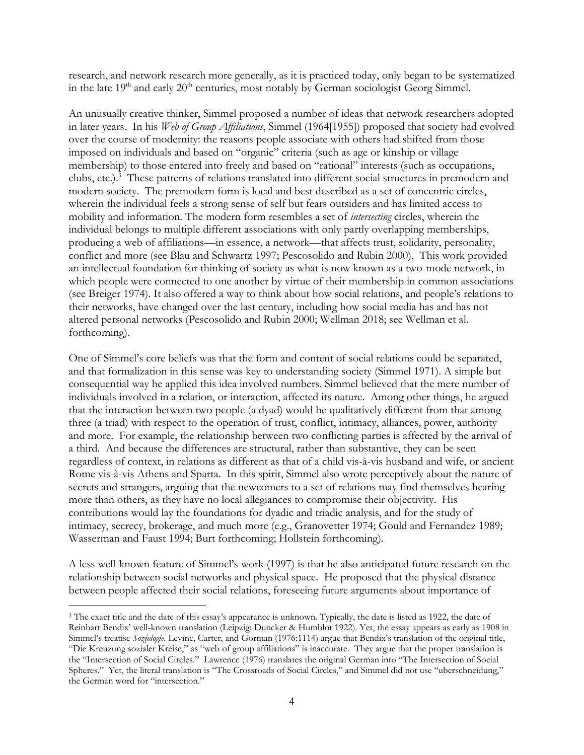research, and network research more generally, as it is practiced today, only began to be systematized in the late  $19<sup>th</sup>$  and early  $20<sup>th</sup>$  centuries, most notably by German sociologist Georg Simmel.

An unusually creative thinker, Simmel proposed a number of ideas that network researchers adopted in later years. In his *Web of Group Affiliations*, Simmel (1964[1955]) proposed that society had evolved over the course of modernity: the reasons people associate with others had shifted from those imposed on individuals and based on "organic" criteria (such as age or kinship or village membership) to those entered into freely and based on "rational" interests (such as occupations, clubs, etc.).<sup>3</sup> These patterns of relations translated into different social structures in premodern and modern society. The premodern form is local and best described as a set of concentric circles, wherein the individual feels a strong sense of self but fears outsiders and has limited access to mobility and information. The modern form resembles a set of *intersecting* circles, wherein the individual belongs to multiple different associations with only partly overlapping memberships, producing a web of affiliations—in essence, a network—that affects trust, solidarity, personality, conflict and more (see Blau and Schwartz 1997; Pescosolido and Rubin 2000). This work provided an intellectual foundation for thinking of society as what is now known as a two-mode network, in which people were connected to one another by virtue of their membership in common associations (see Breiger 1974). It also offered a way to think about how social relations, and people's relations to their networks, have changed over the last century, including how social media has and has not altered personal networks (Pescosolido and Rubin 2000; Wellman 2018; see Wellman et al. forthcoming).

One of Simmel's core beliefs was that the form and content of social relations could be separated, and that formalization in this sense was key to understanding society (Simmel 1971). A simple but consequential way he applied this idea involved numbers. Simmel believed that the mere number of individuals involved in a relation, or interaction, affected its nature. Among other things, he argued that the interaction between two people (a dyad) would be qualitatively different from that among three (a triad) with respect to the operation of trust, conflict, intimacy, alliances, power, authority and more. For example, the relationship between two conflicting parties is affected by the arrival of a third. And because the differences are structural, rather than substantive, they can be seen regardless of context, in relations as different as that of a child vis-à-vis husband and wife, or ancient Rome vis-à-vis Athens and Sparta. In this spirit, Simmel also wrote perceptively about the nature of secrets and strangers, arguing that the newcomers to a set of relations may find themselves hearing more than others, as they have no local allegiances to compromise their objectivity. His contributions would lay the foundations for dyadic and triadic analysis, and for the study of intimacy, secrecy, brokerage, and much more (e.g., Granovetter 1974; Gould and Fernandez 1989; Wasserman and Faust 1994; Burt forthcoming; Hollstein forthcoming).

A less well-known feature of Simmel's work (1997) is that he also anticipated future research on the relationship between social networks and physical space. He proposed that the physical distance between people affected their social relations, foreseeing future arguments about importance of

<sup>&</sup>lt;sup>3</sup> The exact title and the date of this essay's appearance is unknown. Typically, the date is listed as 1922, the date of Reinhart Bendix' well-known translation (Leipzig: Duncker & Humblot 1922). Yet, the essay appears as early as 1908 in Simmel's treatise *Soziologie*. Levine, Carter, and Gorman (1976:1114) argue that Bendix's translation of the original title, "Die Kreuzung sozialer Kreise," as "web of group affiliations" is inaccurate.They argue that the proper translation is the "Intersection of Social Circles." Lawrence (1976) translates the original German into "The Intersection of Social Spheres." Yet, the literal translation is "The Crossroads of Social Circles," and Simmel did not use "uberschneidung," the German word for "intersection."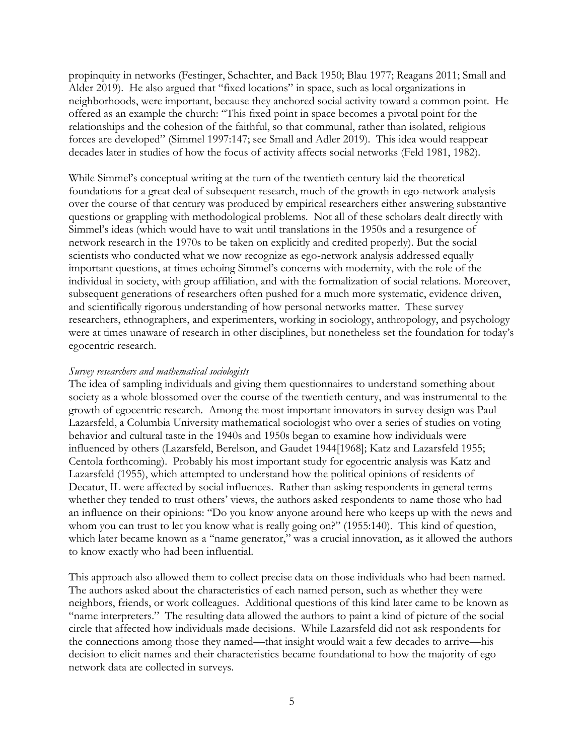propinquity in networks (Festinger, Schachter, and Back 1950; Blau 1977; Reagans 2011; Small and Alder 2019). He also argued that "fixed locations" in space, such as local organizations in neighborhoods, were important, because they anchored social activity toward a common point. He offered as an example the church: "This fixed point in space becomes a pivotal point for the relationships and the cohesion of the faithful, so that communal, rather than isolated, religious forces are developed" (Simmel 1997:147; see Small and Adler 2019). This idea would reappear decades later in studies of how the focus of activity affects social networks (Feld 1981, 1982).

While Simmel's conceptual writing at the turn of the twentieth century laid the theoretical foundations for a great deal of subsequent research, much of the growth in ego-network analysis over the course of that century was produced by empirical researchers either answering substantive questions or grappling with methodological problems. Not all of these scholars dealt directly with Simmel's ideas (which would have to wait until translations in the 1950s and a resurgence of network research in the 1970s to be taken on explicitly and credited properly). But the social scientists who conducted what we now recognize as ego-network analysis addressed equally important questions, at times echoing Simmel's concerns with modernity, with the role of the individual in society, with group affiliation, and with the formalization of social relations. Moreover, subsequent generations of researchers often pushed for a much more systematic, evidence driven, and scientifically rigorous understanding of how personal networks matter. These survey researchers, ethnographers, and experimenters, working in sociology, anthropology, and psychology were at times unaware of research in other disciplines, but nonetheless set the foundation for today's egocentric research.

## *Survey researchers and mathematical sociologists*

The idea of sampling individuals and giving them questionnaires to understand something about society as a whole blossomed over the course of the twentieth century, and was instrumental to the growth of egocentric research. Among the most important innovators in survey design was Paul Lazarsfeld, a Columbia University mathematical sociologist who over a series of studies on voting behavior and cultural taste in the 1940s and 1950s began to examine how individuals were influenced by others (Lazarsfeld, Berelson, and Gaudet 1944[1968]; Katz and Lazarsfeld 1955; Centola forthcoming). Probably his most important study for egocentric analysis was Katz and Lazarsfeld (1955), which attempted to understand how the political opinions of residents of Decatur, IL were affected by social influences. Rather than asking respondents in general terms whether they tended to trust others' views, the authors asked respondents to name those who had an influence on their opinions: "Do you know anyone around here who keeps up with the news and whom you can trust to let you know what is really going on?" (1955:140). This kind of question, which later became known as a "name generator," was a crucial innovation, as it allowed the authors to know exactly who had been influential.

This approach also allowed them to collect precise data on those individuals who had been named. The authors asked about the characteristics of each named person, such as whether they were neighbors, friends, or work colleagues. Additional questions of this kind later came to be known as "name interpreters." The resulting data allowed the authors to paint a kind of picture of the social circle that affected how individuals made decisions. While Lazarsfeld did not ask respondents for the connections among those they named—that insight would wait a few decades to arrive—his decision to elicit names and their characteristics became foundational to how the majority of ego network data are collected in surveys.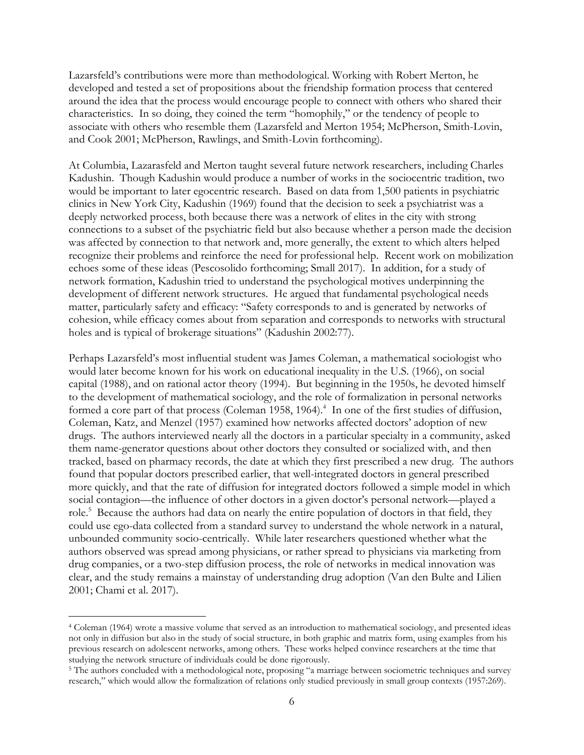Lazarsfeld's contributions were more than methodological. Working with Robert Merton, he developed and tested a set of propositions about the friendship formation process that centered around the idea that the process would encourage people to connect with others who shared their characteristics. In so doing, they coined the term "homophily," or the tendency of people to associate with others who resemble them (Lazarsfeld and Merton 1954; McPherson, Smith-Lovin, and Cook 2001; McPherson, Rawlings, and Smith-Lovin forthcoming).

At Columbia, Lazarasfeld and Merton taught several future network researchers, including Charles Kadushin. Though Kadushin would produce a number of works in the sociocentric tradition, two would be important to later egocentric research. Based on data from 1,500 patients in psychiatric clinics in New York City, Kadushin (1969) found that the decision to seek a psychiatrist was a deeply networked process, both because there was a network of elites in the city with strong connections to a subset of the psychiatric field but also because whether a person made the decision was affected by connection to that network and, more generally, the extent to which alters helped recognize their problems and reinforce the need for professional help. Recent work on mobilization echoes some of these ideas (Pescosolido forthcoming; Small 2017). In addition, for a study of network formation, Kadushin tried to understand the psychological motives underpinning the development of different network structures. He argued that fundamental psychological needs matter, particularly safety and efficacy: "Safety corresponds to and is generated by networks of cohesion, while efficacy comes about from separation and corresponds to networks with structural holes and is typical of brokerage situations" (Kadushin 2002:77).

Perhaps Lazarsfeld's most influential student was James Coleman, a mathematical sociologist who would later become known for his work on educational inequality in the U.S. (1966), on social capital (1988), and on rational actor theory (1994). But beginning in the 1950s, he devoted himself to the development of mathematical sociology, and the role of formalization in personal networks formed a core part of that process (Coleman 1958, 1964).<sup>4</sup> In one of the first studies of diffusion, Coleman, Katz, and Menzel (1957) examined how networks affected doctors' adoption of new drugs. The authors interviewed nearly all the doctors in a particular specialty in a community, asked them name-generator questions about other doctors they consulted or socialized with, and then tracked, based on pharmacy records, the date at which they first prescribed a new drug. The authors found that popular doctors prescribed earlier, that well-integrated doctors in general prescribed more quickly, and that the rate of diffusion for integrated doctors followed a simple model in which social contagion—the influence of other doctors in a given doctor's personal network—played a role.<sup>5</sup> Because the authors had data on nearly the entire population of doctors in that field, they could use ego-data collected from a standard survey to understand the whole network in a natural, unbounded community socio-centrically. While later researchers questioned whether what the authors observed was spread among physicians, or rather spread to physicians via marketing from drug companies, or a two-step diffusion process, the role of networks in medical innovation was clear, and the study remains a mainstay of understanding drug adoption (Van den Bulte and Lilien 2001; Chami et al. 2017).

<sup>4</sup> Coleman (1964) wrote a massive volume that served as an introduction to mathematical sociology, and presented ideas not only in diffusion but also in the study of social structure, in both graphic and matrix form, using examples from his previous research on adolescent networks, among others. These works helped convince researchers at the time that studying the network structure of individuals could be done rigorously.

<sup>5</sup> The authors concluded with a methodological note, proposing "a marriage between sociometric techniques and survey research," which would allow the formalization of relations only studied previously in small group contexts (1957:269).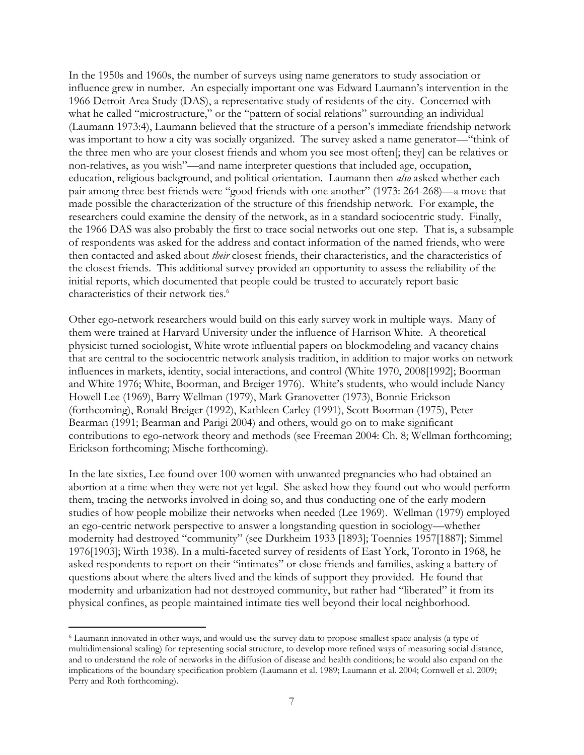In the 1950s and 1960s, the number of surveys using name generators to study association or influence grew in number. An especially important one was Edward Laumann's intervention in the 1966 Detroit Area Study (DAS), a representative study of residents of the city. Concerned with what he called "microstructure," or the "pattern of social relations" surrounding an individual (Laumann 1973:4), Laumann believed that the structure of a person's immediate friendship network was important to how a city was socially organized. The survey asked a name generator—"think of the three men who are your closest friends and whom you see most often[; they] can be relatives or non-relatives, as you wish"—and name interpreter questions that included age, occupation, education, religious background, and political orientation. Laumann then *also* asked whether each pair among three best friends were "good friends with one another" (1973: 264-268)—a move that made possible the characterization of the structure of this friendship network. For example, the researchers could examine the density of the network, as in a standard sociocentric study. Finally, the 1966 DAS was also probably the first to trace social networks out one step. That is, a subsample of respondents was asked for the address and contact information of the named friends, who were then contacted and asked about *their* closest friends, their characteristics, and the characteristics of the closest friends. This additional survey provided an opportunity to assess the reliability of the initial reports, which documented that people could be trusted to accurately report basic characteristics of their network ties.<sup>6</sup>

Other ego-network researchers would build on this early survey work in multiple ways. Many of them were trained at Harvard University under the influence of Harrison White. A theoretical physicist turned sociologist, White wrote influential papers on blockmodeling and vacancy chains that are central to the sociocentric network analysis tradition, in addition to major works on network influences in markets, identity, social interactions, and control (White 1970, 2008[1992]; Boorman and White 1976; White, Boorman, and Breiger 1976). White's students, who would include Nancy Howell Lee (1969), Barry Wellman (1979), Mark Granovetter (1973), Bonnie Erickson (forthcoming), Ronald Breiger (1992), Kathleen Carley (1991), Scott Boorman (1975), Peter Bearman (1991; Bearman and Parigi 2004) and others, would go on to make significant contributions to ego-network theory and methods (see Freeman 2004: Ch. 8; Wellman forthcoming; Erickson forthcoming; Mische forthcoming).

In the late sixties, Lee found over 100 women with unwanted pregnancies who had obtained an abortion at a time when they were not yet legal. She asked how they found out who would perform them, tracing the networks involved in doing so, and thus conducting one of the early modern studies of how people mobilize their networks when needed (Lee 1969). Wellman (1979) employed an ego-centric network perspective to answer a longstanding question in sociology—whether modernity had destroyed "community" (see Durkheim 1933 [1893]; Toennies 1957[1887]; Simmel 1976[1903]; Wirth 1938). In a multi-faceted survey of residents of East York, Toronto in 1968, he asked respondents to report on their "intimates" or close friends and families, asking a battery of questions about where the alters lived and the kinds of support they provided. He found that modernity and urbanization had not destroyed community, but rather had "liberated" it from its physical confines, as people maintained intimate ties well beyond their local neighborhood.

<sup>6</sup> Laumann innovated in other ways, and would use the survey data to propose smallest space analysis (a type of multidimensional scaling) for representing social structure, to develop more refined ways of measuring social distance, and to understand the role of networks in the diffusion of disease and health conditions; he would also expand on the implications of the boundary specification problem (Laumann et al. 1989; Laumann et al. 2004; Cornwell et al. 2009; Perry and Roth forthcoming).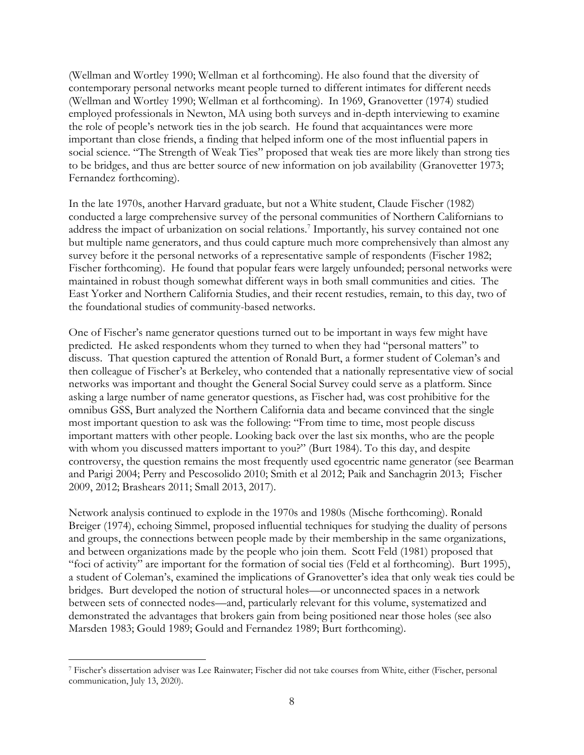(Wellman and Wortley 1990; Wellman et al forthcoming). He also found that the diversity of contemporary personal networks meant people turned to different intimates for different needs (Wellman and Wortley 1990; Wellman et al forthcoming). In 1969, Granovetter (1974) studied employed professionals in Newton, MA using both surveys and in-depth interviewing to examine the role of people's network ties in the job search. He found that acquaintances were more important than close friends, a finding that helped inform one of the most influential papers in social science. "The Strength of Weak Ties" proposed that weak ties are more likely than strong ties to be bridges, and thus are better source of new information on job availability (Granovetter 1973; Fernandez forthcoming).

In the late 1970s, another Harvard graduate, but not a White student, Claude Fischer (1982) conducted a large comprehensive survey of the personal communities of Northern Californians to address the impact of urbanization on social relations.<sup>7</sup> Importantly, his survey contained not one but multiple name generators, and thus could capture much more comprehensively than almost any survey before it the personal networks of a representative sample of respondents (Fischer 1982; Fischer forthcoming). He found that popular fears were largely unfounded; personal networks were maintained in robust though somewhat different ways in both small communities and cities. The East Yorker and Northern California Studies, and their recent restudies, remain, to this day, two of the foundational studies of community-based networks.

One of Fischer's name generator questions turned out to be important in ways few might have predicted. He asked respondents whom they turned to when they had "personal matters" to discuss. That question captured the attention of Ronald Burt, a former student of Coleman's and then colleague of Fischer's at Berkeley, who contended that a nationally representative view of social networks was important and thought the General Social Survey could serve as a platform. Since asking a large number of name generator questions, as Fischer had, was cost prohibitive for the omnibus GSS, Burt analyzed the Northern California data and became convinced that the single most important question to ask was the following: "From time to time, most people discuss important matters with other people. Looking back over the last six months, who are the people with whom you discussed matters important to you?" (Burt 1984). To this day, and despite controversy, the question remains the most frequently used egocentric name generator (see Bearman and Parigi 2004; Perry and Pescosolido 2010; Smith et al 2012; Paik and Sanchagrin 2013; Fischer 2009, 2012; Brashears 2011; Small 2013, 2017).

Network analysis continued to explode in the 1970s and 1980s (Mische forthcoming). Ronald Breiger (1974), echoing Simmel, proposed influential techniques for studying the duality of persons and groups, the connections between people made by their membership in the same organizations, and between organizations made by the people who join them. Scott Feld (1981) proposed that "foci of activity" are important for the formation of social ties (Feld et al forthcoming). Burt 1995), a student of Coleman's, examined the implications of Granovetter's idea that only weak ties could be bridges. Burt developed the notion of structural holes—or unconnected spaces in a network between sets of connected nodes—and, particularly relevant for this volume, systematized and demonstrated the advantages that brokers gain from being positioned near those holes (see also Marsden 1983; Gould 1989; Gould and Fernandez 1989; Burt forthcoming).

<sup>7</sup> Fischer's dissertation adviser was Lee Rainwater; Fischer did not take courses from White, either (Fischer, personal communication, July 13, 2020).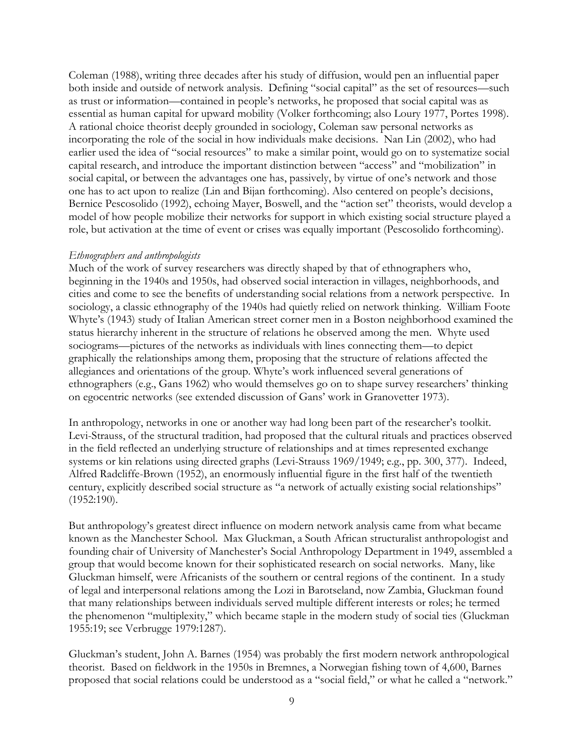Coleman (1988), writing three decades after his study of diffusion, would pen an influential paper both inside and outside of network analysis. Defining "social capital" as the set of resources—such as trust or information—contained in people's networks, he proposed that social capital was as essential as human capital for upward mobility (Volker forthcoming; also Loury 1977, Portes 1998). A rational choice theorist deeply grounded in sociology, Coleman saw personal networks as incorporating the role of the social in how individuals make decisions. Nan Lin (2002), who had earlier used the idea of "social resources" to make a similar point, would go on to systematize social capital research, and introduce the important distinction between "access" and "mobilization" in social capital, or between the advantages one has, passively, by virtue of one's network and those one has to act upon to realize (Lin and Bijan forthcoming). Also centered on people's decisions, Bernice Pescosolido (1992), echoing Mayer, Boswell, and the "action set" theorists, would develop a model of how people mobilize their networks for support in which existing social structure played a role, but activation at the time of event or crises was equally important (Pescosolido forthcoming).

#### *Ethnographers and anthropologists*

Much of the work of survey researchers was directly shaped by that of ethnographers who, beginning in the 1940s and 1950s, had observed social interaction in villages, neighborhoods, and cities and come to see the benefits of understanding social relations from a network perspective. In sociology, a classic ethnography of the 1940s had quietly relied on network thinking. William Foote Whyte's (1943) study of Italian American street corner men in a Boston neighborhood examined the status hierarchy inherent in the structure of relations he observed among the men. Whyte used sociograms—pictures of the networks as individuals with lines connecting them—to depict graphically the relationships among them, proposing that the structure of relations affected the allegiances and orientations of the group. Whyte's work influenced several generations of ethnographers (e.g., Gans 1962) who would themselves go on to shape survey researchers' thinking on egocentric networks (see extended discussion of Gans' work in Granovetter 1973).

In anthropology, networks in one or another way had long been part of the researcher's toolkit. Levi-Strauss, of the structural tradition, had proposed that the cultural rituals and practices observed in the field reflected an underlying structure of relationships and at times represented exchange systems or kin relations using directed graphs (Levi-Strauss 1969/1949; e.g., pp. 300, 377). Indeed, Alfred Radcliffe-Brown (1952), an enormously influential figure in the first half of the twentieth century, explicitly described social structure as "a network of actually existing social relationships" (1952:190).

But anthropology's greatest direct influence on modern network analysis came from what became known as the Manchester School. Max Gluckman, a South African structuralist anthropologist and founding chair of University of Manchester's Social Anthropology Department in 1949, assembled a group that would become known for their sophisticated research on social networks. Many, like Gluckman himself, were Africanists of the southern or central regions of the continent. In a study of legal and interpersonal relations among the Lozi in Barotseland, now Zambia, Gluckman found that many relationships between individuals served multiple different interests or roles; he termed the phenomenon "multiplexity," which became staple in the modern study of social ties (Gluckman 1955:19; see Verbrugge 1979:1287).

Gluckman's student, John A. Barnes (1954) was probably the first modern network anthropological theorist. Based on fieldwork in the 1950s in Bremnes, a Norwegian fishing town of 4,600, Barnes proposed that social relations could be understood as a "social field," or what he called a "network."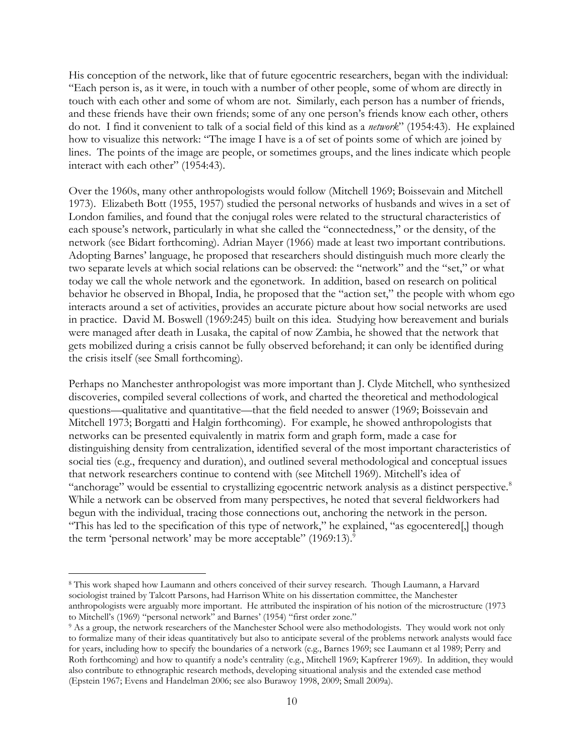His conception of the network, like that of future egocentric researchers, began with the individual: "Each person is, as it were, in touch with a number of other people, some of whom are directly in touch with each other and some of whom are not. Similarly, each person has a number of friends, and these friends have their own friends; some of any one person's friends know each other, others do not. I find it convenient to talk of a social field of this kind as a *network*" (1954:43). He explained how to visualize this network: "The image I have is a of set of points some of which are joined by lines. The points of the image are people, or sometimes groups, and the lines indicate which people interact with each other" (1954:43).

Over the 1960s, many other anthropologists would follow (Mitchell 1969; Boissevain and Mitchell 1973). Elizabeth Bott (1955, 1957) studied the personal networks of husbands and wives in a set of London families, and found that the conjugal roles were related to the structural characteristics of each spouse's network, particularly in what she called the "connectedness," or the density, of the network (see Bidart forthcoming). Adrian Mayer (1966) made at least two important contributions. Adopting Barnes' language, he proposed that researchers should distinguish much more clearly the two separate levels at which social relations can be observed: the "network" and the "set," or what today we call the whole network and the egonetwork. In addition, based on research on political behavior he observed in Bhopal, India, he proposed that the "action set," the people with whom ego interacts around a set of activities, provides an accurate picture about how social networks are used in practice. David M. Boswell (1969:245) built on this idea. Studying how bereavement and burials were managed after death in Lusaka, the capital of now Zambia, he showed that the network that gets mobilized during a crisis cannot be fully observed beforehand; it can only be identified during the crisis itself (see Small forthcoming).

Perhaps no Manchester anthropologist was more important than J. Clyde Mitchell, who synthesized discoveries, compiled several collections of work, and charted the theoretical and methodological questions—qualitative and quantitative—that the field needed to answer (1969; Boissevain and Mitchell 1973; Borgatti and Halgin forthcoming). For example, he showed anthropologists that networks can be presented equivalently in matrix form and graph form, made a case for distinguishing density from centralization, identified several of the most important characteristics of social ties (e.g., frequency and duration), and outlined several methodological and conceptual issues that network researchers continue to contend with (see Mitchell 1969). Mitchell's idea of "anchorage" would be essential to crystallizing egocentric network analysis as a distinct perspective.<sup>8</sup> While a network can be observed from many perspectives, he noted that several fieldworkers had begun with the individual, tracing those connections out, anchoring the network in the person. "This has led to the specification of this type of network," he explained, "as egocentered[,] though the term 'personal network' may be more acceptable" (1969:13).<sup>9</sup>

<sup>8</sup> This work shaped how Laumann and others conceived of their survey research. Though Laumann, a Harvard sociologist trained by Talcott Parsons, had Harrison White on his dissertation committee, the Manchester anthropologists were arguably more important. He attributed the inspiration of his notion of the microstructure (1973 to Mitchell's (1969) "personal network" and Barnes' (1954) "first order zone."

<sup>&</sup>lt;sup>9</sup> As a group, the network researchers of the Manchester School were also methodologists. They would work not only to formalize many of their ideas quantitatively but also to anticipate several of the problems network analysts would face for years, including how to specify the boundaries of a network (e.g., Barnes 1969; see Laumann et al 1989; Perry and Roth forthcoming) and how to quantify a node's centrality (e.g., Mitchell 1969; Kapfrerer 1969). In addition, they would also contribute to ethnographic research methods, developing situational analysis and the extended case method (Epstein 1967; Evens and Handelman 2006; see also Burawoy 1998, 2009; Small 2009a).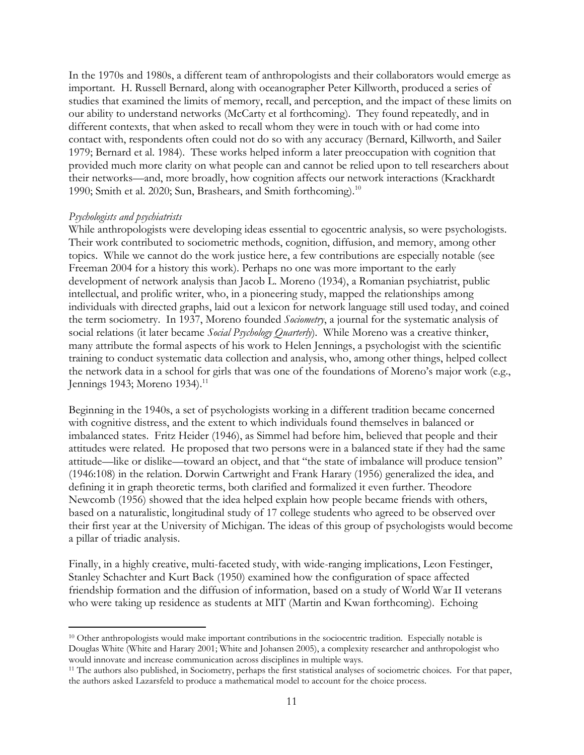In the 1970s and 1980s, a different team of anthropologists and their collaborators would emerge as important. H. Russell Bernard, along with oceanographer Peter Killworth, produced a series of studies that examined the limits of memory, recall, and perception, and the impact of these limits on our ability to understand networks (McCarty et al forthcoming). They found repeatedly, and in different contexts, that when asked to recall whom they were in touch with or had come into contact with, respondents often could not do so with any accuracy (Bernard, Killworth, and Sailer 1979; Bernard et al. 1984). These works helped inform a later preoccupation with cognition that provided much more clarity on what people can and cannot be relied upon to tell researchers about their networks—and, more broadly, how cognition affects our network interactions (Krackhardt 1990; Smith et al. 2020; Sun, Brashears, and Smith forthcoming).<sup>10</sup>

## *Psychologists and psychiatrists*

While anthropologists were developing ideas essential to egocentric analysis, so were psychologists. Their work contributed to sociometric methods, cognition, diffusion, and memory, among other topics. While we cannot do the work justice here, a few contributions are especially notable (see Freeman 2004 for a history this work). Perhaps no one was more important to the early development of network analysis than Jacob L. Moreno (1934), a Romanian psychiatrist, public intellectual, and prolific writer, who, in a pioneering study, mapped the relationships among individuals with directed graphs, laid out a lexicon for network language still used today, and coined the term sociometry. In 1937, Moreno founded *Sociometry*, a journal for the systematic analysis of social relations (it later became *Social Psychology Quarterly*)*.* While Moreno was a creative thinker, many attribute the formal aspects of his work to Helen Jennings, a psychologist with the scientific training to conduct systematic data collection and analysis, who, among other things, helped collect the network data in a school for girls that was one of the foundations of Moreno's major work (e.g., Jennings 1943; Moreno 1934).<sup>11</sup>

Beginning in the 1940s, a set of psychologists working in a different tradition became concerned with cognitive distress, and the extent to which individuals found themselves in balanced or imbalanced states. Fritz Heider (1946), as Simmel had before him, believed that people and their attitudes were related. He proposed that two persons were in a balanced state if they had the same attitude—like or dislike—toward an object, and that "the state of imbalance will produce tension" (1946:108) in the relation. Dorwin Cartwright and Frank Harary (1956) generalized the idea, and defining it in graph theoretic terms, both clarified and formalized it even further. Theodore Newcomb (1956) showed that the idea helped explain how people became friends with others, based on a naturalistic, longitudinal study of 17 college students who agreed to be observed over their first year at the University of Michigan. The ideas of this group of psychologists would become a pillar of triadic analysis.

Finally, in a highly creative, multi-faceted study, with wide-ranging implications, Leon Festinger, Stanley Schachter and Kurt Back (1950) examined how the configuration of space affected friendship formation and the diffusion of information, based on a study of World War II veterans who were taking up residence as students at MIT (Martin and Kwan forthcoming). Echoing

<sup>&</sup>lt;sup>10</sup> Other anthropologists would make important contributions in the sociocentric tradition. Especially notable is Douglas White (White and Harary 2001; White and Johansen 2005), a complexity researcher and anthropologist who would innovate and increase communication across disciplines in multiple ways.

<sup>11</sup> The authors also published, in Sociometry, perhaps the first statistical analyses of sociometric choices. For that paper, the authors asked Lazarsfeld to produce a mathematical model to account for the choice process.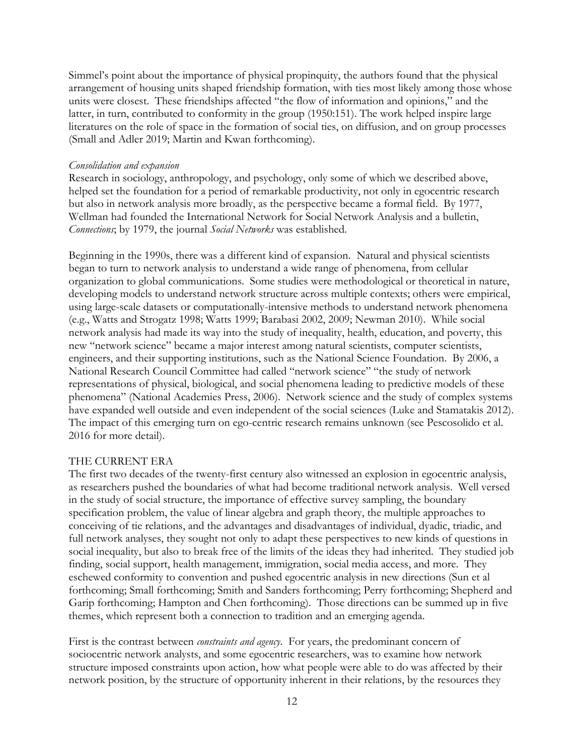Simmel's point about the importance of physical propinquity, the authors found that the physical arrangement of housing units shaped friendship formation, with ties most likely among those whose units were closest. These friendships affected "the flow of information and opinions," and the latter, in turn, contributed to conformity in the group (1950:151). The work helped inspire large literatures on the role of space in the formation of social ties, on diffusion, and on group processes (Small and Adler 2019; Martin and Kwan forthcoming).

### *Consolidation and expansion*

Research in sociology, anthropology, and psychology, only some of which we described above, helped set the foundation for a period of remarkable productivity, not only in egocentric research but also in network analysis more broadly, as the perspective became a formal field. By 1977, Wellman had founded the International Network for Social Network Analysis and a bulletin, *Connections*; by 1979, the journal *Social Networks* was established.

Beginning in the 1990s, there was a different kind of expansion. Natural and physical scientists began to turn to network analysis to understand a wide range of phenomena, from cellular organization to global communications. Some studies were methodological or theoretical in nature, developing models to understand network structure across multiple contexts; others were empirical, using large-scale datasets or computationally-intensive methods to understand network phenomena (e.g., Watts and Strogatz 1998; Watts 1999; Barabasi 2002, 2009; Newman 2010). While social network analysis had made its way into the study of inequality, health, education, and poverty, this new "network science" became a major interest among natural scientists, computer scientists, engineers, and their supporting institutions, such as the National Science Foundation. By 2006, a National Research Council Committee had called "network science" "the study of network representations of physical, biological, and social phenomena leading to predictive models of these phenomena" (National Academies Press, 2006). Network science and the study of complex systems have expanded well outside and even independent of the social sciences (Luke and Stamatakis 2012). The impact of this emerging turn on ego-centric research remains unknown (see Pescosolido et al. 2016 for more detail).

# THE CURRENT ERA

The first two decades of the twenty-first century also witnessed an explosion in egocentric analysis, as researchers pushed the boundaries of what had become traditional network analysis. Well versed in the study of social structure, the importance of effective survey sampling, the boundary specification problem, the value of linear algebra and graph theory, the multiple approaches to conceiving of tie relations, and the advantages and disadvantages of individual, dyadic, triadic, and full network analyses, they sought not only to adapt these perspectives to new kinds of questions in social inequality, but also to break free of the limits of the ideas they had inherited. They studied job finding, social support, health management, immigration, social media access, and more. They eschewed conformity to convention and pushed egocentric analysis in new directions (Sun et al forthcoming; Small forthcoming; Smith and Sanders forthcoming; Perry forthcoming; Shepherd and Garip forthcoming; Hampton and Chen forthcoming). Those directions can be summed up in five themes, which represent both a connection to tradition and an emerging agenda.

First is the contrast between *constraints and agency*. For years, the predominant concern of sociocentric network analysts, and some egocentric researchers, was to examine how network structure imposed constraints upon action, how what people were able to do was affected by their network position, by the structure of opportunity inherent in their relations, by the resources they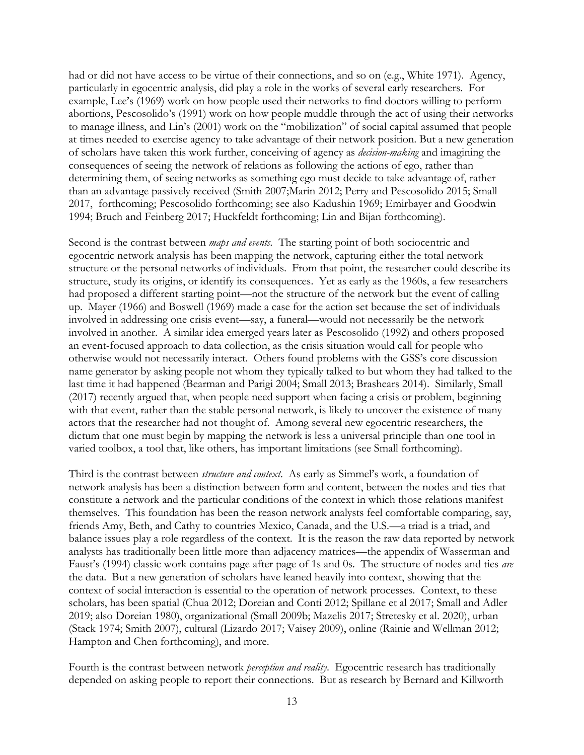had or did not have access to be virtue of their connections, and so on (e.g., White 1971). Agency, particularly in egocentric analysis, did play a role in the works of several early researchers. For example, Lee's (1969) work on how people used their networks to find doctors willing to perform abortions, Pescosolido's (1991) work on how people muddle through the act of using their networks to manage illness, and Lin's (2001) work on the "mobilization" of social capital assumed that people at times needed to exercise agency to take advantage of their network position. But a new generation of scholars have taken this work further, conceiving of agency as *decision-making* and imagining the consequences of seeing the network of relations as following the actions of ego, rather than determining them, of seeing networks as something ego must decide to take advantage of, rather than an advantage passively received (Smith 2007;Marin 2012; Perry and Pescosolido 2015; Small 2017, forthcoming; Pescosolido forthcoming; see also Kadushin 1969; Emirbayer and Goodwin 1994; Bruch and Feinberg 2017; Huckfeldt forthcoming; Lin and Bijan forthcoming).

Second is the contrast between *maps and events.* The starting point of both sociocentric and egocentric network analysis has been mapping the network, capturing either the total network structure or the personal networks of individuals. From that point, the researcher could describe its structure, study its origins, or identify its consequences. Yet as early as the 1960s, a few researchers had proposed a different starting point—not the structure of the network but the event of calling up. Mayer (1966) and Boswell (1969) made a case for the action set because the set of individuals involved in addressing one crisis event—say, a funeral—would not necessarily be the network involved in another. A similar idea emerged years later as Pescosolido (1992) and others proposed an event-focused approach to data collection, as the crisis situation would call for people who otherwise would not necessarily interact. Others found problems with the GSS's core discussion name generator by asking people not whom they typically talked to but whom they had talked to the last time it had happened (Bearman and Parigi 2004; Small 2013; Brashears 2014). Similarly, Small (2017) recently argued that, when people need support when facing a crisis or problem, beginning with that event, rather than the stable personal network, is likely to uncover the existence of many actors that the researcher had not thought of. Among several new egocentric researchers, the dictum that one must begin by mapping the network is less a universal principle than one tool in varied toolbox, a tool that, like others, has important limitations (see Small forthcoming).

Third is the contrast between *structure and context*. As early as Simmel's work, a foundation of network analysis has been a distinction between form and content, between the nodes and ties that constitute a network and the particular conditions of the context in which those relations manifest themselves. This foundation has been the reason network analysts feel comfortable comparing, say, friends Amy, Beth, and Cathy to countries Mexico, Canada, and the U.S.—a triad is a triad, and balance issues play a role regardless of the context. It is the reason the raw data reported by network analysts has traditionally been little more than adjacency matrices—the appendix of Wasserman and Faust's (1994) classic work contains page after page of 1s and 0s. The structure of nodes and ties *are*  the data. But a new generation of scholars have leaned heavily into context, showing that the context of social interaction is essential to the operation of network processes. Context, to these scholars, has been spatial (Chua 2012; Doreian and Conti 2012; Spillane et al 2017; Small and Adler 2019; also Doreian 1980), organizational (Small 2009b; Mazelis 2017; Stretesky et al. 2020), urban (Stack 1974; Smith 2007), cultural (Lizardo 2017; Vaisey 2009), online (Rainie and Wellman 2012; Hampton and Chen forthcoming), and more.

Fourth is the contrast between network *perception and reality*. Egocentric research has traditionally depended on asking people to report their connections. But as research by Bernard and Killworth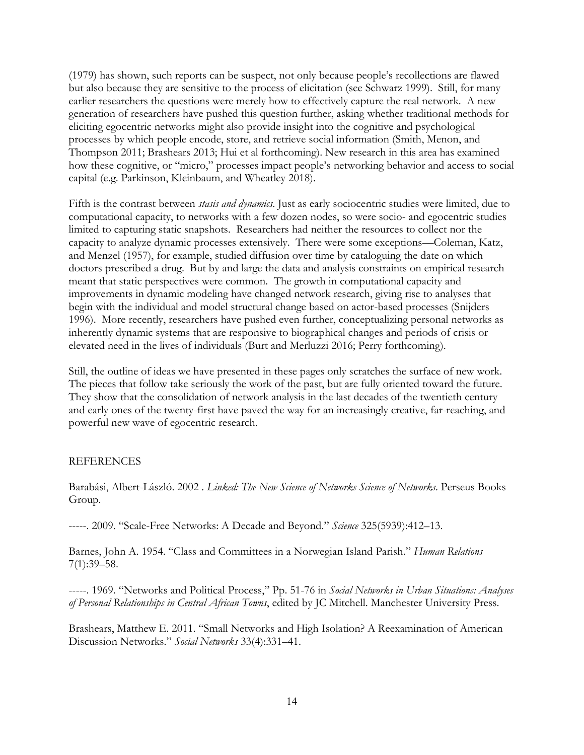(1979) has shown, such reports can be suspect, not only because people's recollections are flawed but also because they are sensitive to the process of elicitation (see Schwarz 1999). Still, for many earlier researchers the questions were merely how to effectively capture the real network. A new generation of researchers have pushed this question further, asking whether traditional methods for eliciting egocentric networks might also provide insight into the cognitive and psychological processes by which people encode, store, and retrieve social information (Smith, Menon, and Thompson 2011; Brashears 2013; Hui et al forthcoming). New research in this area has examined how these cognitive, or "micro," processes impact people's networking behavior and access to social capital (e.g. Parkinson, Kleinbaum, and Wheatley 2018).

Fifth is the contrast between *stasis and dynamics*. Just as early sociocentric studies were limited, due to computational capacity, to networks with a few dozen nodes, so were socio- and egocentric studies limited to capturing static snapshots. Researchers had neither the resources to collect nor the capacity to analyze dynamic processes extensively. There were some exceptions—Coleman, Katz, and Menzel (1957), for example, studied diffusion over time by cataloguing the date on which doctors prescribed a drug. But by and large the data and analysis constraints on empirical research meant that static perspectives were common. The growth in computational capacity and improvements in dynamic modeling have changed network research, giving rise to analyses that begin with the individual and model structural change based on actor-based processes (Snijders 1996). More recently, researchers have pushed even further, conceptualizing personal networks as inherently dynamic systems that are responsive to biographical changes and periods of crisis or elevated need in the lives of individuals (Burt and Merluzzi 2016; Perry forthcoming).

Still, the outline of ideas we have presented in these pages only scratches the surface of new work. The pieces that follow take seriously the work of the past, but are fully oriented toward the future. They show that the consolidation of network analysis in the last decades of the twentieth century and early ones of the twenty-first have paved the way for an increasingly creative, far-reaching, and powerful new wave of egocentric research.

# REFERENCES

Barabási, Albert-László. 2002 . *Linked: The New Science of Networks Science of Networks*. Perseus Books Group.

-----. 2009. "Scale-Free Networks: A Decade and Beyond." *Science* 325(5939):412–13.

Barnes, John A. 1954. "Class and Committees in a Norwegian Island Parish." *Human Relations* 7(1):39–58.

-----. 1969. "Networks and Political Process," Pp. 51-76 in *Social Networks in Urban Situations: Analyses of Personal Relationships in Central African Towns*, edited by JC Mitchell. Manchester University Press.

Brashears, Matthew E. 2011. "Small Networks and High Isolation? A Reexamination of American Discussion Networks." *Social Networks* 33(4):331–41.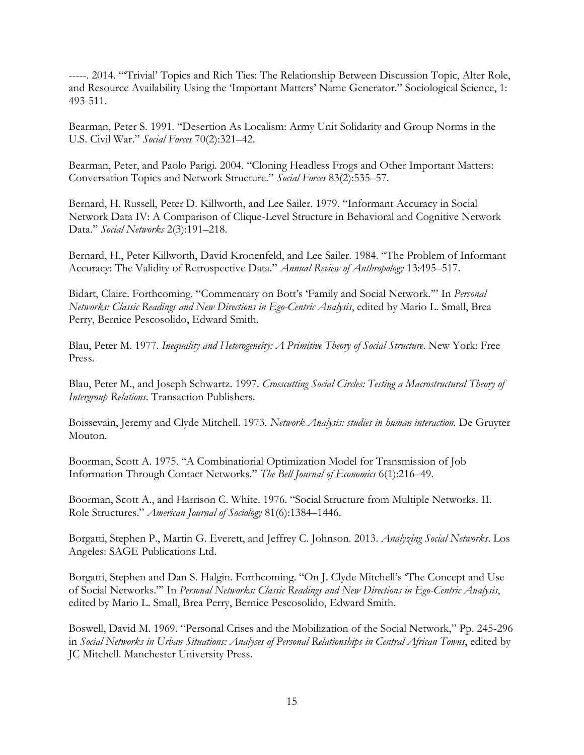-----. 2014. "'Trivial' Topics and Rich Ties: The Relationship Between Discussion Topic, Alter Role, and Resource Availability Using the 'Important Matters' Name Generator." Sociological Science, 1: 493-511.

Bearman, Peter S. 1991. "Desertion As Localism: Army Unit Solidarity and Group Norms in the U.S. Civil War." *Social Forces* 70(2):321–42.

Bearman, Peter, and Paolo Parigi. 2004. "Cloning Headless Frogs and Other Important Matters: Conversation Topics and Network Structure." *Social Forces* 83(2):535–57.

Bernard, H. Russell, Peter D. Killworth, and Lee Sailer. 1979. "Informant Accuracy in Social Network Data IV: A Comparison of Clique-Level Structure in Behavioral and Cognitive Network Data." *Social Networks* 2(3):191–218.

Bernard, H., Peter Killworth, David Kronenfeld, and Lee Sailer. 1984. "The Problem of Informant Accuracy: The Validity of Retrospective Data." *Annual Review of Anthropology* 13:495–517.

Bidart, Claire. Forthcoming. "Commentary on Bott's 'Family and Social Network.'" In *Personal Networks: Classic Readings and New Directions in Ego-Centric Analysis*, edited by Mario L. Small, Brea Perry, Bernice Pescosolido, Edward Smith*.*

Blau, Peter M. 1977. *Inequality and Heterogeneity: A Primitive Theory of Social Structure*. New York: Free Press.

Blau, Peter M., and Joseph Schwartz. 1997. *Crosscutting Social Circles: Testing a Macrostructural Theory of Intergroup Relations*. Transaction Publishers.

Boissevain, Jeremy and Clyde Mitchell. 1973. *Network Analysis: studies in human interaction.* De Gruyter Mouton.

Boorman, Scott A. 1975. "A Combinatiorial Optimization Model for Transmission of Job Information Through Contact Networks." *The Bell Journal of Economics* 6(1):216–49.

Boorman, Scott A., and Harrison C. White. 1976. "Social Structure from Multiple Networks. II. Role Structures." *American Journal of Sociology* 81(6):1384–1446.

Borgatti, Stephen P., Martin G. Everett, and Jeffrey C. Johnson. 2013. *Analyzing Social Networks*. Los Angeles: SAGE Publications Ltd.

Borgatti, Stephen and Dan S. Halgin. Forthcoming. "On J. Clyde Mitchell's 'The Concept and Use of Social Networks.'" In *Personal Networks: Classic Readings and New Directions in Ego-Centric Analysis*, edited by Mario L. Small, Brea Perry, Bernice Pescosolido, Edward Smith*.*

Boswell, David M. 1969. "Personal Crises and the Mobilization of the Social Network," Pp. 245-296 in *Social Networks in Urban Situations: Analyses of Personal Relationships in Central African Towns*, edited by JC Mitchell. Manchester University Press.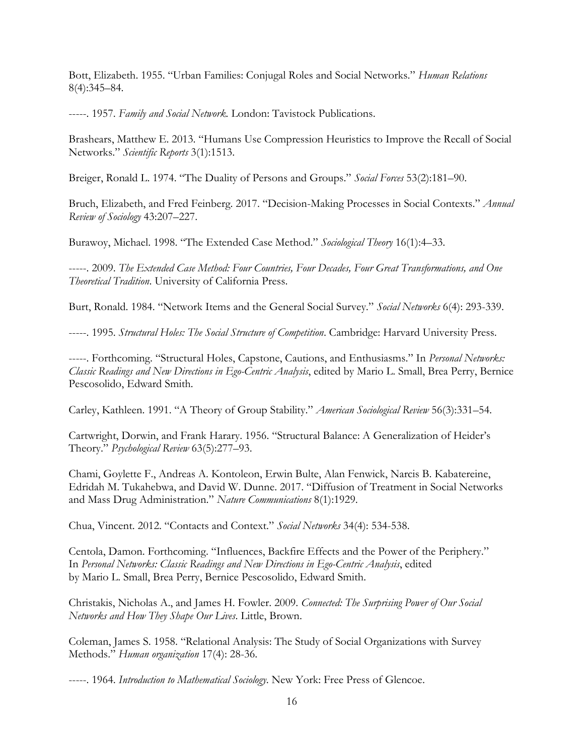Bott, Elizabeth. 1955. "Urban Families: Conjugal Roles and Social Networks." *Human Relations* 8(4):345–84.

-----. 1957. *Family and Social Network.* London: Tavistock Publications.

Brashears, Matthew E. 2013. "Humans Use Compression Heuristics to Improve the Recall of Social Networks." *Scientific Reports* 3(1):1513.

Breiger, Ronald L. 1974. "The Duality of Persons and Groups." *Social Forces* 53(2):181–90.

Bruch, Elizabeth, and Fred Feinberg. 2017. "Decision-Making Processes in Social Contexts." *Annual Review of Sociology* 43:207–227.

Burawoy, Michael. 1998. "The Extended Case Method." *Sociological Theory* 16(1):4–33.

-----. 2009. *The Extended Case Method: Four Countries, Four Decades, Four Great Transformations, and One Theoretical Tradition*. University of California Press.

Burt, Ronald. 1984. "Network Items and the General Social Survey." *Social Networks* 6(4): 293-339.

-----. 1995. *Structural Holes: The Social Structure of Competition*. Cambridge: Harvard University Press.

-----. Forthcoming. "Structural Holes, Capstone, Cautions, and Enthusiasms." In *Personal Networks: Classic Readings and New Directions in Ego-Centric Analysis*, edited by Mario L. Small, Brea Perry, Bernice Pescosolido, Edward Smith*.*

Carley, Kathleen. 1991. "A Theory of Group Stability." *American Sociological Review* 56(3):331–54.

Cartwright, Dorwin, and Frank Harary. 1956. "Structural Balance: A Generalization of Heider's Theory." *Psychological Review* 63(5):277–93.

Chami, Goylette F., Andreas A. Kontoleon, Erwin Bulte, Alan Fenwick, Narcis B. Kabatereine, Edridah M. Tukahebwa, and David W. Dunne. 2017. "Diffusion of Treatment in Social Networks and Mass Drug Administration." *Nature Communications* 8(1):1929.

Chua, Vincent. 2012. "Contacts and Context." *Social Networks* 34(4): 534-538.

Centola, Damon. Forthcoming. "Influences, Backfire Effects and the Power of the Periphery." In *Personal Networks: Classic Readings and New Directions in Ego-Centric Analysis*, edited by Mario L. Small, Brea Perry, Bernice Pescosolido, Edward Smith*.*

Christakis, Nicholas A., and James H. Fowler. 2009. *Connected: The Surprising Power of Our Social Networks and How They Shape Our Lives*. Little, Brown.

Coleman, James S. 1958. "Relational Analysis: The Study of Social Organizations with Survey Methods." *Human organization* 17(4): 28-36.

-----. 1964. *Introduction to Mathematical Sociology*. New York: Free Press of Glencoe.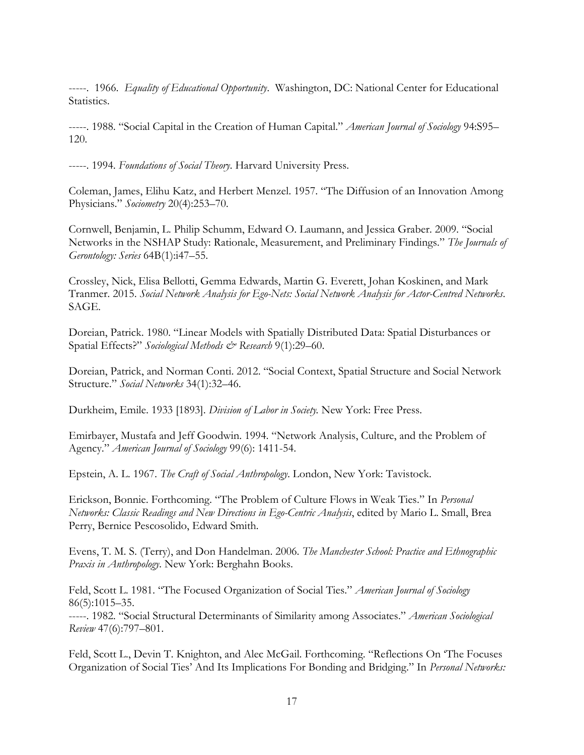-----. 1966. *Equality of Educational Opportunity*. Washington, DC: National Center for Educational Statistics.

-----. 1988. "Social Capital in the Creation of Human Capital." *American Journal of Sociology* 94:S95– 120.

-----. 1994. *Foundations of Social Theory*. Harvard University Press.

Coleman, James, Elihu Katz, and Herbert Menzel. 1957. "The Diffusion of an Innovation Among Physicians." *Sociometry* 20(4):253–70.

Cornwell, Benjamin, L. Philip Schumm, Edward O. Laumann, and Jessica Graber. 2009. "Social Networks in the NSHAP Study: Rationale, Measurement, and Preliminary Findings." *The Journals of Gerontology: Series* 64B(1):i47–55.

Crossley, Nick, Elisa Bellotti, Gemma Edwards, Martin G. Everett, Johan Koskinen, and Mark Tranmer. 2015. *Social Network Analysis for Ego-Nets: Social Network Analysis for Actor-Centred Networks*. SAGE.

Doreian, Patrick. 1980. "Linear Models with Spatially Distributed Data: Spatial Disturbances or Spatial Effects?" *Sociological Methods & Research* 9(1):29–60.

Doreian, Patrick, and Norman Conti. 2012. "Social Context, Spatial Structure and Social Network Structure." *Social Networks* 34(1):32–46.

Durkheim, Emile. 1933 [1893]. *Division of Labor in Society.* New York: Free Press.

Emirbayer, Mustafa and Jeff Goodwin. 1994. "Network Analysis, Culture, and the Problem of Agency." *American Journal of Sociology* 99(6): 1411-54.

Epstein, A. L. 1967. *The Craft of Social Anthropology*. London, New York: Tavistock.

Erickson, Bonnie. Forthcoming. "The Problem of Culture Flows in Weak Ties." In *Personal Networks: Classic Readings and New Directions in Ego-Centric Analysis*, edited by Mario L. Small, Brea Perry, Bernice Pescosolido, Edward Smith*.*

Evens, T. M. S. (Terry), and Don Handelman. 2006. *The Manchester School: Practice and Ethnographic Praxis in Anthropology*. New York: Berghahn Books.

Feld, Scott L. 1981. "The Focused Organization of Social Ties." *American Journal of Sociology* 86(5):1015–35.

-----. 1982. "Social Structural Determinants of Similarity among Associates." *American Sociological Review* 47(6):797–801.

Feld, Scott L., Devin T. Knighton, and Alec McGail. Forthcoming. "Reflections On 'The Focuses Organization of Social Ties' And Its Implications For Bonding and Bridging." In *Personal Networks:*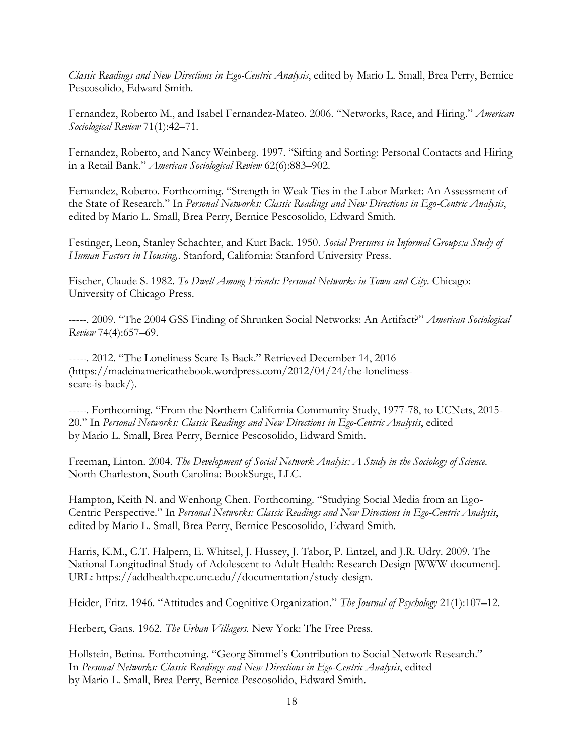*Classic Readings and New Directions in Ego-Centric Analysis*, edited by Mario L. Small, Brea Perry, Bernice Pescosolido, Edward Smith*.*

Fernandez, Roberto M., and Isabel Fernandez-Mateo. 2006. "Networks, Race, and Hiring." *American Sociological Review* 71(1):42–71.

Fernandez, Roberto, and Nancy Weinberg. 1997. "Sifting and Sorting: Personal Contacts and Hiring in a Retail Bank." *American Sociological Review* 62(6):883–902.

Fernandez, Roberto. Forthcoming. "Strength in Weak Ties in the Labor Market: An Assessment of the State of Research." In *Personal Networks: Classic Readings and New Directions in Ego-Centric Analysis*, edited by Mario L. Small, Brea Perry, Bernice Pescosolido, Edward Smith*.*

Festinger, Leon, Stanley Schachter, and Kurt Back. 1950. *Social Pressures in Informal Groups;a Study of Human Factors in Housing,*. Stanford, California: Stanford University Press.

Fischer, Claude S. 1982. *To Dwell Among Friends: Personal Networks in Town and City*. Chicago: University of Chicago Press.

-----. 2009. "The 2004 GSS Finding of Shrunken Social Networks: An Artifact?" *American Sociological Review* 74(4):657–69.

-----. 2012. "The Loneliness Scare Is Back." Retrieved December 14, 2016 (https://madeinamericathebook.wordpress.com/2012/04/24/the-lonelinessscare-is-back/).

-----. Forthcoming. "From the Northern California Community Study, 1977-78, to UCNets, 2015- 20." In *Personal Networks: Classic Readings and New Directions in Ego-Centric Analysis*, edited by Mario L. Small, Brea Perry, Bernice Pescosolido, Edward Smith*.*

Freeman, Linton. 2004. *The Development of Social Network Analyis: A Study in the Sociology of Science.*  North Charleston, South Carolina: BookSurge, LLC.

Hampton, Keith N. and Wenhong Chen. Forthcoming. "Studying Social Media from an Ego-Centric Perspective." In *Personal Networks: Classic Readings and New Directions in Ego-Centric Analysis*, edited by Mario L. Small, Brea Perry, Bernice Pescosolido, Edward Smith*.*

Harris, K.M., C.T. Halpern, E. Whitsel, J. Hussey, J. Tabor, P. Entzel, and J.R. Udry. 2009. The National Longitudinal Study of Adolescent to Adult Health: Research Design [WWW document]. URL: https://addhealth.cpc.unc.edu//documentation/study-design.

Heider, Fritz. 1946. "Attitudes and Cognitive Organization." *The Journal of Psychology* 21(1):107–12.

Herbert, Gans. 1962. *The Urban Villagers.* New York: The Free Press.

Hollstein, Betina. Forthcoming. "Georg Simmel's Contribution to Social Network Research." In *Personal Networks: Classic Readings and New Directions in Ego-Centric Analysis*, edited by Mario L. Small, Brea Perry, Bernice Pescosolido, Edward Smith*.*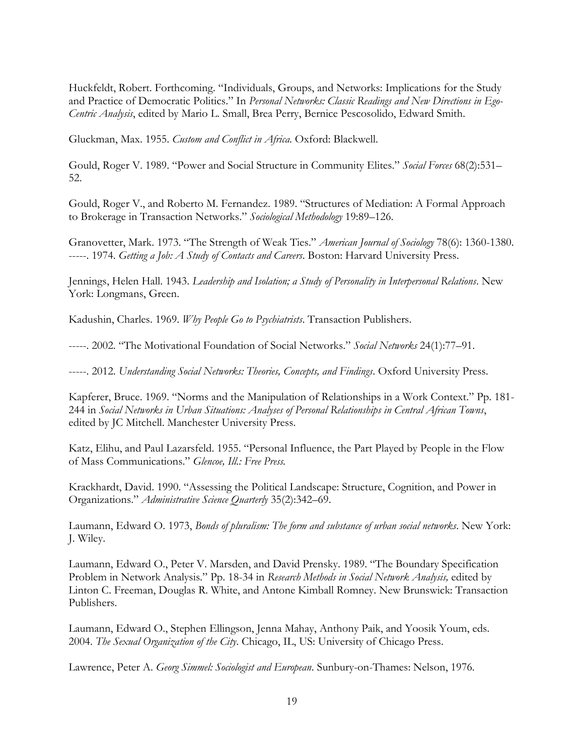Huckfeldt, Robert. Forthcoming. "Individuals, Groups, and Networks: Implications for the Study and Practice of Democratic Politics." In *Personal Networks: Classic Readings and New Directions in Ego-Centric Analysis*, edited by Mario L. Small, Brea Perry, Bernice Pescosolido, Edward Smith*.*

Gluckman, Max. 1955. *Custom and Conflict in Africa.* Oxford: Blackwell.

Gould, Roger V. 1989. "Power and Social Structure in Community Elites." *Social Forces* 68(2):531– 52.

Gould, Roger V., and Roberto M. Fernandez. 1989. "Structures of Mediation: A Formal Approach to Brokerage in Transaction Networks." *Sociological Methodology* 19:89–126.

Granovetter, Mark. 1973. "The Strength of Weak Ties." *American Journal of Sociology* 78(6): 1360-1380. -----. 1974. *Getting a Job: A Study of Contacts and Careers*. Boston: Harvard University Press.

Jennings, Helen Hall. 1943. *Leadership and Isolation; a Study of Personality in Interpersonal Relations*. New York: Longmans, Green.

Kadushin, Charles. 1969. *Why People Go to Psychiatrists*. Transaction Publishers.

-----. 2002. "The Motivational Foundation of Social Networks." *Social Networks* 24(1):77–91.

-----. 2012. *Understanding Social Networks: Theories, Concepts, and Findings*. Oxford University Press.

Kapferer, Bruce. 1969. "Norms and the Manipulation of Relationships in a Work Context." Pp. 181- 244 in *Social Networks in Urban Situations: Analyses of Personal Relationships in Central African Towns*, edited by JC Mitchell. Manchester University Press.

Katz, Elihu, and Paul Lazarsfeld. 1955. "Personal Influence, the Part Played by People in the Flow of Mass Communications." *Glencoe, Ill.: Free Press.* 

Krackhardt, David. 1990. "Assessing the Political Landscape: Structure, Cognition, and Power in Organizations." *Administrative Science Quarterly* 35(2):342–69.

Laumann, Edward O. 1973, *Bonds of pluralism: The form and substance of urban social networks*. New York: J. Wiley.

Laumann, Edward O., Peter V. Marsden, and David Prensky. 1989. "The Boundary Specification Problem in Network Analysis." Pp. 18-34 in *Research Methods in Social Network Analysis,* edited by Linton C. Freeman, Douglas R. White, and Antone Kimball Romney. New Brunswick: Transaction Publishers.

Laumann, Edward O., Stephen Ellingson, Jenna Mahay, Anthony Paik, and Yoosik Youm, eds. 2004. *The Sexual Organization of the City*. Chicago, IL, US: University of Chicago Press.

Lawrence, Peter A. *Georg Simmel: Sociologist and European*. Sunbury-on-Thames: Nelson, 1976.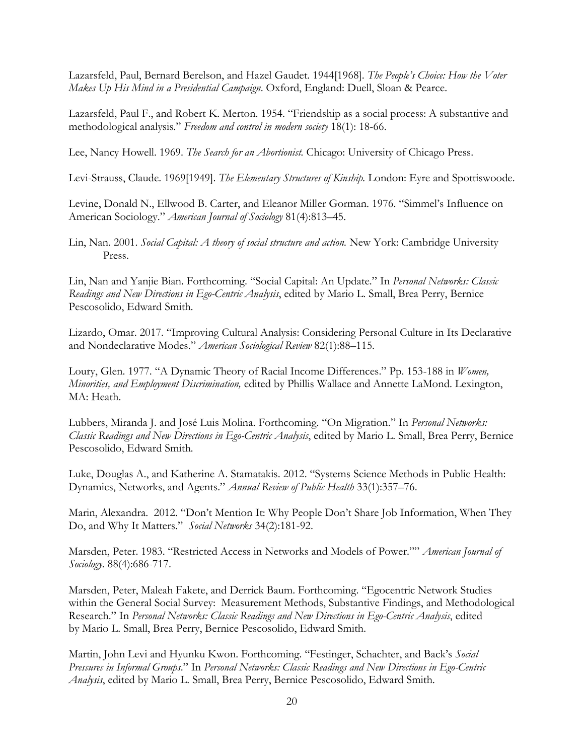Lazarsfeld, Paul, Bernard Berelson, and Hazel Gaudet. 1944[1968]. *The People's Choice: How the Voter Makes Up His Mind in a Presidential Campaign*. Oxford, England: Duell, Sloan & Pearce.

Lazarsfeld, Paul F., and Robert K. Merton. 1954. "Friendship as a social process: A substantive and methodological analysis." *Freedom and control in modern society* 18(1): 18-66.

Lee, Nancy Howell. 1969. *The Search for an Abortionist.* Chicago: University of Chicago Press.

Levi-Strauss, Claude. 1969[1949]. *The Elementary Structures of Kinship.* London: Eyre and Spottiswoode.

Levine, Donald N., Ellwood B. Carter, and Eleanor Miller Gorman. 1976. "Simmel's Influence on American Sociology." *American Journal of Sociology* 81(4):813–45.

Lin, Nan. 2001. *Social Capital: A theory of social structure and action.* New York: Cambridge University Press.

Lin, Nan and Yanjie Bian. Forthcoming. "Social Capital: An Update." In *Personal Networks: Classic Readings and New Directions in Ego-Centric Analysis*, edited by Mario L. Small, Brea Perry, Bernice Pescosolido, Edward Smith*.*

Lizardo, Omar. 2017. "Improving Cultural Analysis: Considering Personal Culture in Its Declarative and Nondeclarative Modes." *American Sociological Review* 82(1):88–115.

Loury, Glen. 1977. "A Dynamic Theory of Racial Income Differences." Pp. 153-188 in *Women, Minorities, and Employment Discrimination,* edited by Phillis Wallace and Annette LaMond. Lexington, MA: Heath.

Lubbers, Miranda J. and José Luis Molina. Forthcoming. "On Migration." In *Personal Networks: Classic Readings and New Directions in Ego-Centric Analysis*, edited by Mario L. Small, Brea Perry, Bernice Pescosolido, Edward Smith*.*

Luke, Douglas A., and Katherine A. Stamatakis. 2012. "Systems Science Methods in Public Health: Dynamics, Networks, and Agents." *Annual Review of Public Health* 33(1):357–76.

Marin, Alexandra. 2012. "Don't Mention It: Why People Don't Share Job Information, When They Do, and Why It Matters." *Social Networks* 34(2):181-92.

Marsden, Peter. 1983. "Restricted Access in Networks and Models of Power."" *American Journal of Sociology.* 88(4):686-717.

Marsden, Peter, Maleah Fakete, and Derrick Baum. Forthcoming. "Egocentric Network Studies within the General Social Survey: Measurement Methods, Substantive Findings, and Methodological Research." In *Personal Networks: Classic Readings and New Directions in Ego-Centric Analysis*, edited by Mario L. Small, Brea Perry, Bernice Pescosolido, Edward Smith*.*

Martin, John Levi and Hyunku Kwon. Forthcoming. "Festinger, Schachter, and Back's *Social Pressures in Informal Groups*." In *Personal Networks: Classic Readings and New Directions in Ego-Centric Analysis*, edited by Mario L. Small, Brea Perry, Bernice Pescosolido, Edward Smith*.*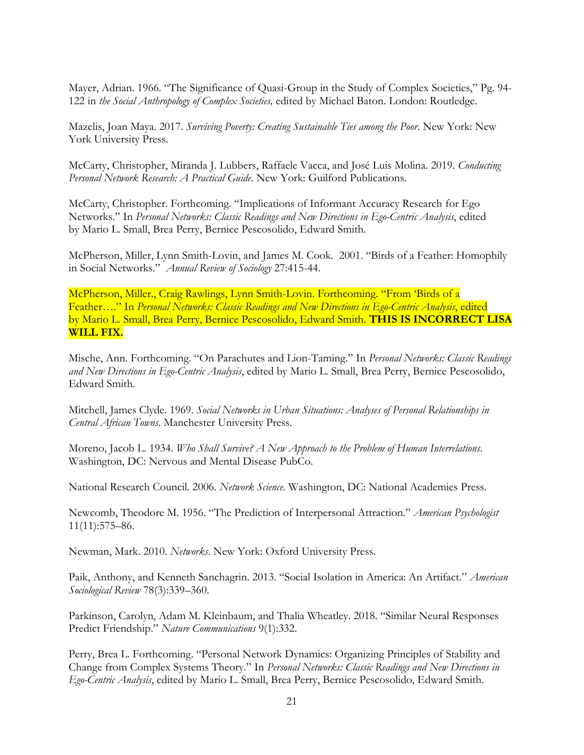Mayer, Adrian. 1966. "The Significance of Quasi-Group in the Study of Complex Societies," Pg. 94- 122 in *the Social Anthropology of Complex Societies,* edited by Michael Baton. London: Routledge.

Mazelis, Joan Maya. 2017. *Surviving Poverty: Creating Sustainable Ties among the Poor*. New York: New York University Press.

McCarty, Christopher, Miranda J. Lubbers, Raffaele Vacca, and José Luis Molina. 2019. *Conducting Personal Network Research: A Practical Guide*. New York: Guilford Publications.

McCarty, Christopher. Forthcoming. "Implications of Informant Accuracy Research for Ego Networks." In *Personal Networks: Classic Readings and New Directions in Ego-Centric Analysis*, edited by Mario L. Small, Brea Perry, Bernice Pescosolido, Edward Smith*.*

McPherson, Miller, Lynn Smith-Lovin, and James M. Cook. 2001. "Birds of a Feather: Homophily in Social Networks." *Annual Review of Sociology* 27:415-44.

McPherson, Miller., Craig Rawlings, Lynn Smith-Lovin. Forthcoming. "From 'Birds of a Feather…." In *Personal Networks: Classic Readings and New Directions in Ego-Centric Analysis*, edited by Mario L. Small, Brea Perry, Bernice Pescosolido, Edward Smith*.* **THIS IS INCORRECT LISA WILL FIX.**

Mische, Ann. Forthcoming. "On Parachutes and Lion-Taming." In *Personal Networks: Classic Readings and New Directions in Ego-Centric Analysis*, edited by Mario L. Small, Brea Perry, Bernice Pescosolido, Edward Smith*.*

Mitchell, James Clyde. 1969. *Social Networks in Urban Situations: Analyses of Personal Relationships in Central African Towns*. Manchester University Press.

Moreno, Jacob L. 1934. *Who Shall Survive? A New Approach to the Problem of Human Interrelations*. Washington, DC: Nervous and Mental Disease PubCo.

National Research Council. 2006. *Network Science*. Washington, DC: National Academies Press.

Newcomb, Theodore M. 1956. "The Prediction of Interpersonal Attraction." *American Psychologist* 11(11):575–86.

Newman, Mark. 2010. *Networks*. New York: Oxford University Press.

Paik, Anthony, and Kenneth Sanchagrin. 2013. "Social Isolation in America: An Artifact." *American Sociological Review* 78(3):339–360.

Parkinson, Carolyn, Adam M. Kleinbaum, and Thalia Wheatley. 2018. "Similar Neural Responses Predict Friendship." *Nature Communications* 9(1):332.

Perry, Brea L. Forthcoming. "Personal Network Dynamics: Organizing Principles of Stability and Change from Complex Systems Theory." In *Personal Networks: Classic Readings and New Directions in Ego-Centric Analysis*, edited by Mario L. Small, Brea Perry, Bernice Pescosolido, Edward Smith*.*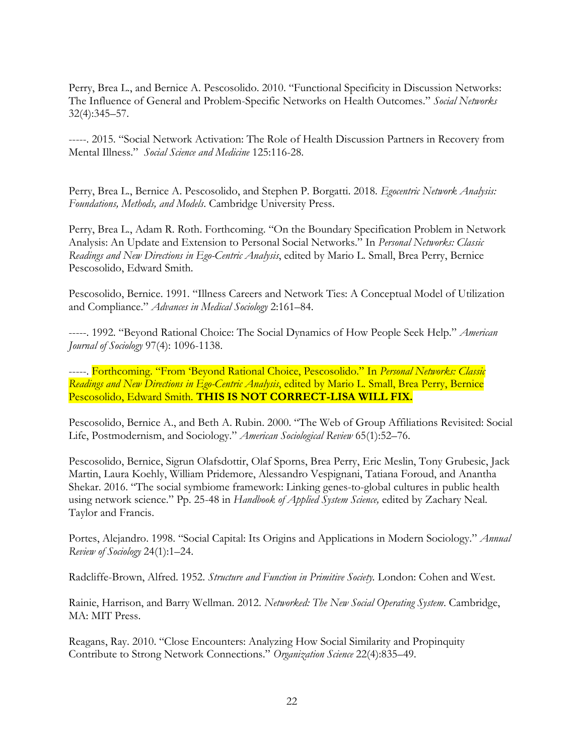Perry, Brea L., and Bernice A. Pescosolido. 2010. "Functional Specificity in Discussion Networks: The Influence of General and Problem-Specific Networks on Health Outcomes." *Social Networks* 32(4):345–57.

-----. 2015. "Social Network Activation: The Role of Health Discussion Partners in Recovery from Mental Illness." *Social Science and Medicine* 125:116-28.

Perry, Brea L., Bernice A. Pescosolido, and Stephen P. Borgatti. 2018. *Egocentric Network Analysis: Foundations, Methods, and Models*. Cambridge University Press.

Perry, Brea L., Adam R. Roth. Forthcoming. "On the Boundary Specification Problem in Network Analysis: An Update and Extension to Personal Social Networks." In *Personal Networks: Classic Readings and New Directions in Ego-Centric Analysis*, edited by Mario L. Small, Brea Perry, Bernice Pescosolido, Edward Smith*.*

Pescosolido, Bernice. 1991. "Illness Careers and Network Ties: A Conceptual Model of Utilization and Compliance." *Advances in Medical Sociology* 2:161–84.

-----. 1992. "Beyond Rational Choice: The Social Dynamics of How People Seek Help." *American Journal of Sociology* 97(4): 1096-1138.

-----. Forthcoming. "From 'Beyond Rational Choice, Pescosolido." In *Personal Networks: Classic Readings and New Directions in Ego-Centric Analysis*, edited by Mario L. Small, Brea Perry, Bernice Pescosolido, Edward Smith*.* **THIS IS NOT CORRECT-LISA WILL FIX.**

Pescosolido, Bernice A., and Beth A. Rubin. 2000. "The Web of Group Affiliations Revisited: Social Life, Postmodernism, and Sociology." *American Sociological Review* 65(1):52–76.

Pescosolido, Bernice, Sigrun Olafsdottir, Olaf Sporns, Brea Perry, Eric Meslin, Tony Grubesic, Jack Martin, Laura Koehly, William Pridemore, Alessandro Vespignani, Tatiana Foroud, and Anantha Shekar. 2016. "The social symbiome framework: Linking genes-to-global cultures in public health using network science." Pp. 25-48 in *Handbook of Applied System Science,* edited by Zachary Neal. Taylor and Francis.

Portes, Alejandro. 1998. "Social Capital: Its Origins and Applications in Modern Sociology." *Annual Review of Sociology* 24(1):1–24.

Radcliffe-Brown, Alfred. 1952. *Structure and Function in Primitive Society.* London: Cohen and West.

Rainie, Harrison, and Barry Wellman. 2012. *Networked: The New Social Operating System*. Cambridge, MA: MIT Press.

Reagans, Ray. 2010. "Close Encounters: Analyzing How Social Similarity and Propinquity Contribute to Strong Network Connections." *Organization Science* 22(4):835–49.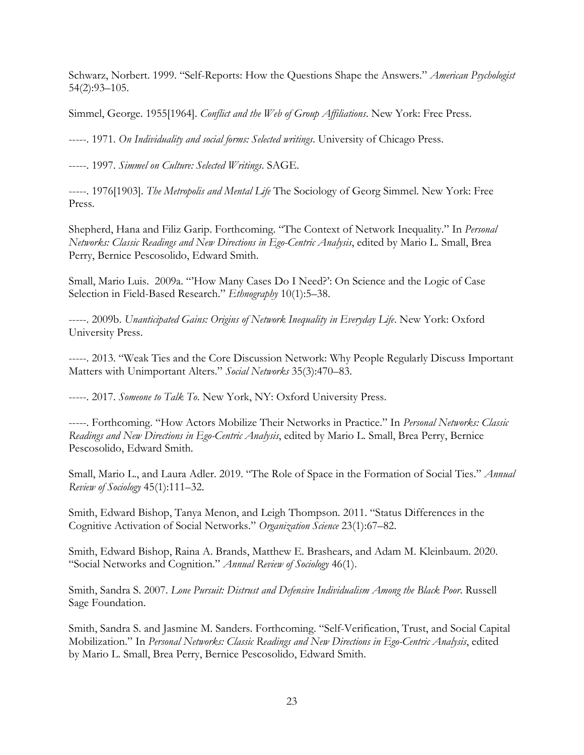Schwarz, Norbert. 1999. "Self-Reports: How the Questions Shape the Answers." *American Psychologist* 54(2):93–105.

Simmel, George. 1955[1964]. *Conflict and the Web of Group Affiliations*. New York: Free Press.

-----. 1971. *On Individuality and social forms: Selected writings*. University of Chicago Press.

-----. 1997. *Simmel on Culture: Selected Writings*. SAGE.

-----. 1976[1903]. *The Metropolis and Mental Life* The Sociology of Georg Simmel. New York: Free Press.

Shepherd, Hana and Filiz Garip. Forthcoming. "The Context of Network Inequality." In *Personal Networks: Classic Readings and New Directions in Ego-Centric Analysis*, edited by Mario L. Small, Brea Perry, Bernice Pescosolido, Edward Smith*.*

Small, Mario Luis. 2009a. "'How Many Cases Do I Need?': On Science and the Logic of Case Selection in Field-Based Research." *Ethnography* 10(1):5–38.

-----. 2009b. *Unanticipated Gains: Origins of Network Inequality in Everyday Life*. New York: Oxford University Press.

-----. 2013. "Weak Ties and the Core Discussion Network: Why People Regularly Discuss Important Matters with Unimportant Alters." *Social Networks* 35(3):470–83.

-----. 2017. *Someone to Talk To*. New York, NY: Oxford University Press.

-----. Forthcoming. "How Actors Mobilize Their Networks in Practice." In *Personal Networks: Classic Readings and New Directions in Ego-Centric Analysis*, edited by Mario L. Small, Brea Perry, Bernice Pescosolido, Edward Smith*.*

Small, Mario L., and Laura Adler. 2019. "The Role of Space in the Formation of Social Ties." *Annual Review of Sociology* 45(1):111–32.

Smith, Edward Bishop, Tanya Menon, and Leigh Thompson. 2011. "Status Differences in the Cognitive Activation of Social Networks." *Organization Science* 23(1):67–82.

Smith, Edward Bishop, Raina A. Brands, Matthew E. Brashears, and Adam M. Kleinbaum. 2020. "Social Networks and Cognition." *Annual Review of Sociology* 46(1).

Smith, Sandra S. 2007. *Lone Pursuit: Distrust and Defensive Individualism Among the Black Poor*. Russell Sage Foundation.

Smith, Sandra S. and Jasmine M. Sanders. Forthcoming. "Self-Verification, Trust, and Social Capital Mobilization." In *Personal Networks: Classic Readings and New Directions in Ego-Centric Analysis*, edited by Mario L. Small, Brea Perry, Bernice Pescosolido, Edward Smith*.*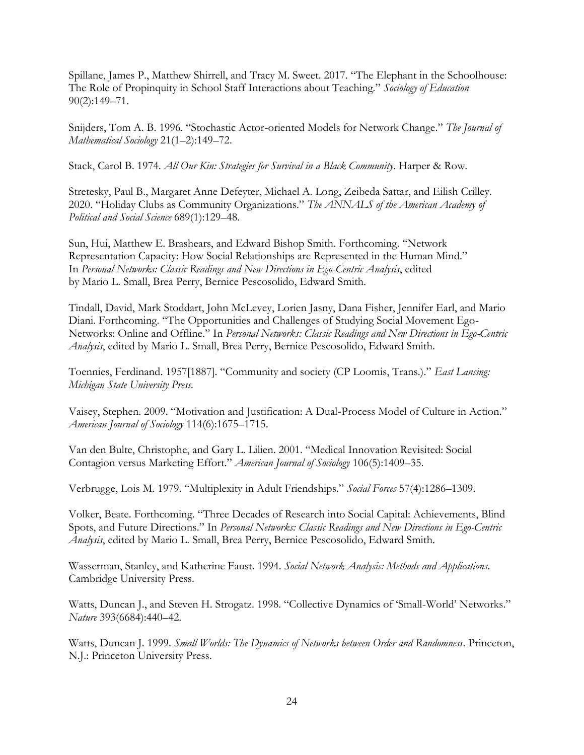Spillane, James P., Matthew Shirrell, and Tracy M. Sweet. 2017. "The Elephant in the Schoolhouse: The Role of Propinquity in School Staff Interactions about Teaching." *Sociology of Education* 90(2):149–71.

Snijders, Tom A. B. 1996. "Stochastic Actor‐oriented Models for Network Change." *The Journal of Mathematical Sociology* 21(1–2):149–72.

Stack, Carol B. 1974. *All Our Kin: Strategies for Survival in a Black Community*. Harper & Row.

Stretesky, Paul B., Margaret Anne Defeyter, Michael A. Long, Zeibeda Sattar, and Eilish Crilley. 2020. "Holiday Clubs as Community Organizations." *The ANNALS of the American Academy of Political and Social Science* 689(1):129–48.

Sun, Hui, Matthew E. Brashears, and Edward Bishop Smith. Forthcoming. "Network Representation Capacity: How Social Relationships are Represented in the Human Mind." In *Personal Networks: Classic Readings and New Directions in Ego-Centric Analysis*, edited by Mario L. Small, Brea Perry, Bernice Pescosolido, Edward Smith*.*

Tindall, David, Mark Stoddart, John McLevey, Lorien Jasny, Dana Fisher, Jennifer Earl, and Mario Diani. Forthcoming. "The Opportunities and Challenges of Studying Social Movement Ego-Networks: Online and Offline." In *Personal Networks: Classic Readings and New Directions in Ego-Centric Analysis*, edited by Mario L. Small, Brea Perry, Bernice Pescosolido, Edward Smith*.*

Toennies, Ferdinand. 1957[1887]. "Community and society (CP Loomis, Trans.)." *East Lansing: Michigan State University Press.*

Vaisey, Stephen. 2009. "Motivation and Justification: A Dual‐Process Model of Culture in Action." *American Journal of Sociology* 114(6):1675–1715.

Van den Bulte, Christophe, and Gary L. Lilien. 2001. "Medical Innovation Revisited: Social Contagion versus Marketing Effort." *American Journal of Sociology* 106(5):1409–35.

Verbrugge, Lois M. 1979. "Multiplexity in Adult Friendships." *Social Forces* 57(4):1286–1309.

Volker, Beate. Forthcoming. "Three Decades of Research into Social Capital: Achievements, Blind Spots, and Future Directions." In *Personal Networks: Classic Readings and New Directions in Ego-Centric Analysis*, edited by Mario L. Small, Brea Perry, Bernice Pescosolido, Edward Smith*.*

Wasserman, Stanley, and Katherine Faust. 1994. *Social Network Analysis: Methods and Applications*. Cambridge University Press.

Watts, Duncan J., and Steven H. Strogatz. 1998. "Collective Dynamics of 'Small-World' Networks." *Nature* 393(6684):440–42.

Watts, Duncan J. 1999. *Small Worlds: The Dynamics of Networks between Order and Randomness*. Princeton, N.J.: Princeton University Press.